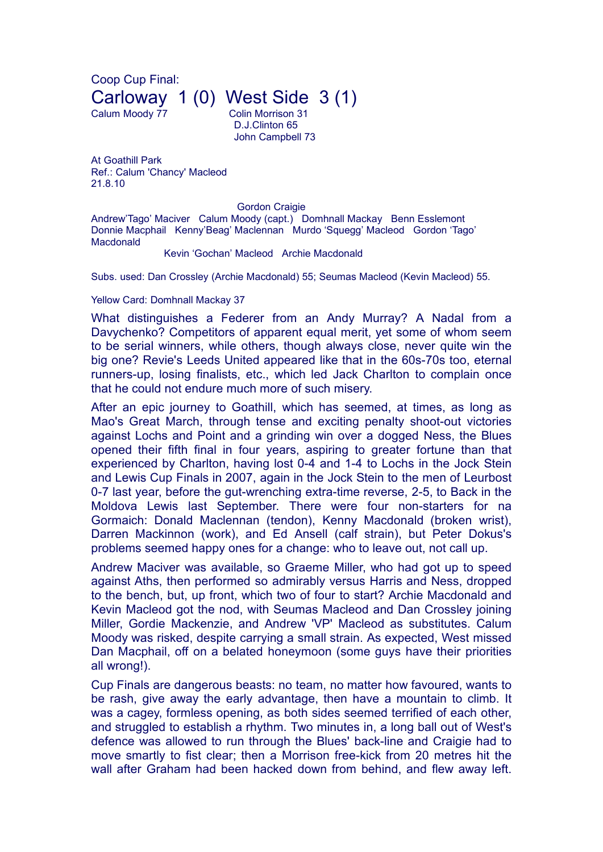Coop Cup Final: Carloway 1 (0) West Side 3 (1)

Calum Moody 77 Colin Morrison 31 D.J.Clinton 65 John Campbell 73

At Goathill Park Ref.: Calum 'Chancy' Macleod 21.8.10

**Gordon Craigie** 

Andrew'Tago' Maciver Calum Moody (capt.) Domhnall Mackay Benn Esslemont Donnie Macphail Kenny'Beag' Maclennan Murdo 'Squegg' Macleod Gordon 'Tago' Macdonald

Kevin 'Gochan' Macleod Archie Macdonald

Subs. used: Dan Crossley (Archie Macdonald) 55; Seumas Macleod (Kevin Macleod) 55.

## Yellow Card: Domhnall Mackay 37

What distinguishes a Federer from an Andy Murray? A Nadal from a Davychenko? Competitors of apparent equal merit, yet some of whom seem to be serial winners, while others, though always close, never quite win the big one? Revie's Leeds United appeared like that in the 60s-70s too, eternal runners-up, losing finalists, etc., which led Jack Charlton to complain once that he could not endure much more of such misery.

After an epic journey to Goathill, which has seemed, at times, as long as Mao's Great March, through tense and exciting penalty shoot-out victories against Lochs and Point and a grinding win over a dogged Ness, the Blues opened their fifth final in four years, aspiring to greater fortune than that experienced by Charlton, having lost 0-4 and 1-4 to Lochs in the Jock Stein and Lewis Cup Finals in 2007, again in the Jock Stein to the men of Leurbost 0-7 last year, before the gut-wrenching extra-time reverse, 2-5, to Back in the Moldova Lewis last September. There were four non-starters for na Gormaich: Donald Maclennan (tendon), Kenny Macdonald (broken wrist), Darren Mackinnon (work), and Ed Ansell (calf strain), but Peter Dokus's problems seemed happy ones for a change: who to leave out, not call up.

Andrew Maciver was available, so Graeme Miller, who had got up to speed against Aths, then performed so admirably versus Harris and Ness, dropped to the bench, but, up front, which two of four to start? Archie Macdonald and Kevin Macleod got the nod, with Seumas Macleod and Dan Crossley joining Miller, Gordie Mackenzie, and Andrew 'VP' Macleod as substitutes. Calum Moody was risked, despite carrying a small strain. As expected, West missed Dan Macphail, off on a belated honeymoon (some guys have their priorities all wrong!).

Cup Finals are dangerous beasts: no team, no matter how favoured, wants to be rash, give away the early advantage, then have a mountain to climb. It was a cagey, formless opening, as both sides seemed terrified of each other, and struggled to establish a rhythm. Two minutes in, a long ball out of West's defence was allowed to run through the Blues' back-line and Craigie had to move smartly to fist clear; then a Morrison free-kick from 20 metres hit the wall after Graham had been hacked down from behind, and flew away left.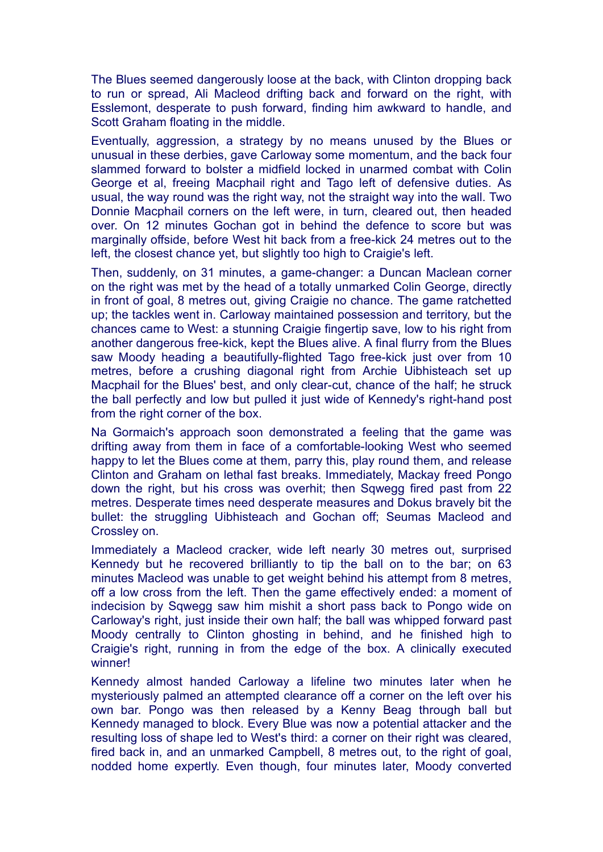The Blues seemed dangerously loose at the back, with Clinton dropping back to run or spread, Ali Macleod drifting back and forward on the right, with Esslemont, desperate to push forward, finding him awkward to handle, and Scott Graham floating in the middle.

Eventually, aggression, a strategy by no means unused by the Blues or unusual in these derbies, gave Carloway some momentum, and the back four slammed forward to bolster a midfield locked in unarmed combat with Colin George et al, freeing Macphail right and Tago left of defensive duties. As usual, the way round was the right way, not the straight way into the wall. Two Donnie Macphail corners on the left were, in turn, cleared out, then headed over. On 12 minutes Gochan got in behind the defence to score but was marginally offside, before West hit back from a free-kick 24 metres out to the left, the closest chance yet, but slightly too high to Craigie's left.

Then, suddenly, on 31 minutes, a game-changer: a Duncan Maclean corner on the right was met by the head of a totally unmarked Colin George, directly in front of goal, 8 metres out, giving Craigie no chance. The game ratchetted up; the tackles went in. Carloway maintained possession and territory, but the chances came to West: a stunning Craigie fingertip save, low to his right from another dangerous free-kick, kept the Blues alive. A final flurry from the Blues saw Moody heading a beautifully-flighted Tago free-kick just over from 10 metres, before a crushing diagonal right from Archie Uibhisteach set up Macphail for the Blues' best, and only clear-cut, chance of the half; he struck the ball perfectly and low but pulled it just wide of Kennedy's right-hand post from the right corner of the box.

Na Gormaich's approach soon demonstrated a feeling that the game was drifting away from them in face of a comfortable-looking West who seemed happy to let the Blues come at them, parry this, play round them, and release Clinton and Graham on lethal fast breaks. Immediately, Mackay freed Pongo down the right, but his cross was overhit; then Sqwegg fired past from 22 metres. Desperate times need desperate measures and Dokus bravely bit the bullet: the struggling Uibhisteach and Gochan off; Seumas Macleod and Crossley on.

Immediately a Macleod cracker, wide left nearly 30 metres out, surprised Kennedy but he recovered brilliantly to tip the ball on to the bar; on 63 minutes Macleod was unable to get weight behind his attempt from 8 metres, off a low cross from the left. Then the game effectively ended: a moment of indecision by Sqwegg saw him mishit a short pass back to Pongo wide on Carloway's right, just inside their own half; the ball was whipped forward past Moody centrally to Clinton ghosting in behind, and he finished high to Craigie's right, running in from the edge of the box. A clinically executed winner!

Kennedy almost handed Carloway a lifeline two minutes later when he mysteriously palmed an attempted clearance off a corner on the left over his own bar. Pongo was then released by a Kenny Beag through ball but Kennedy managed to block. Every Blue was now a potential attacker and the resulting loss of shape led to West's third: a corner on their right was cleared, fired back in, and an unmarked Campbell, 8 metres out, to the right of goal, nodded home expertly. Even though, four minutes later, Moody converted